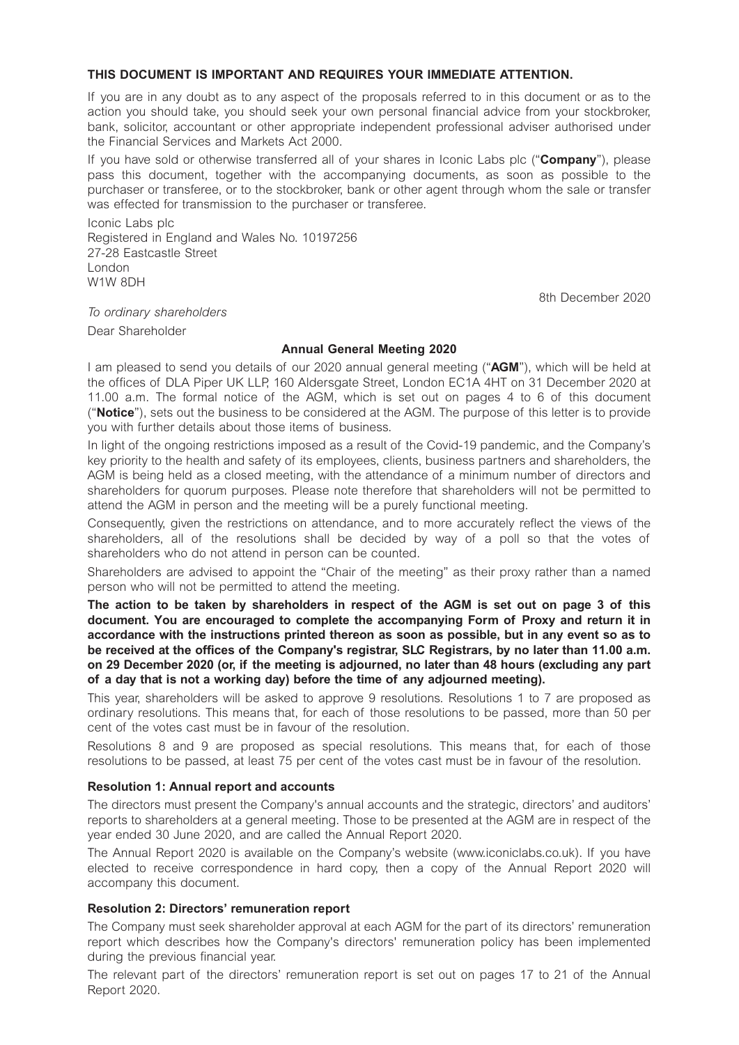# **THIS DOCUMENT IS IMPORTANT AND REQUIRES YOUR IMMEDIATE ATTENTION.**

If you are in any doubt as to any aspect of the proposals referred to in this document or as to the action you should take, you should seek your own personal financial advice from your stockbroker, bank, solicitor, accountant or other appropriate independent professional adviser authorised under the Financial Services and Markets Act 2000.

If you have sold or otherwise transferred all of your shares in Iconic Labs plc ("**Company**"), please pass this document, together with the accompanying documents, as soon as possible to the purchaser or transferee, or to the stockbroker, bank or other agent through whom the sale or transfer was effected for transmission to the purchaser or transferee.

Iconic Labs plc Registered in England and Wales No. 10197256 27-28 Eastcastle Street London W1W 8DH

8th December 2020

*To ordinary shareholders*  Dear Shareholder

#### **Annual General Meeting 2020**

I am pleased to send you details of our 2020 annual general meeting ("**AGM**"), which will be held at the offices of DLA Piper UK LLP, 160 Aldersgate Street, London EC1A 4HT on 31 December 2020 at 11.00 a.m. The formal notice of the AGM, which is set out on pages 4 to 6 of this document ("**Notice**"), sets out the business to be considered at the AGM. The purpose of this letter is to provide you with further details about those items of business.

In light of the ongoing restrictions imposed as a result of the Covid-19 pandemic, and the Company's key priority to the health and safety of its employees, clients, business partners and shareholders, the AGM is being held as a closed meeting, with the attendance of a minimum number of directors and shareholders for quorum purposes. Please note therefore that shareholders will not be permitted to attend the AGM in person and the meeting will be a purely functional meeting.

Consequently, given the restrictions on attendance, and to more accurately reflect the views of the shareholders, all of the resolutions shall be decided by way of a poll so that the votes of shareholders who do not attend in person can be counted.

Shareholders are advised to appoint the "Chair of the meeting" as their proxy rather than a named person who will not be permitted to attend the meeting.

**The action to be taken by shareholders in respect of the AGM is set out on page 3 of this document. You are encouraged to complete the accompanying Form of Proxy and return it in accordance with the instructions printed thereon as soon as possible, but in any event so as to be received at the offices of the Company's registrar, SLC Registrars, by no later than 11.00 a.m. on 29 December 2020 (or, if the meeting is adjourned, no later than 48 hours (excluding any part of a day that is not a working day) before the time of any adjourned meeting).** 

This year, shareholders will be asked to approve 9 resolutions. Resolutions 1 to 7 are proposed as ordinary resolutions. This means that, for each of those resolutions to be passed, more than 50 per cent of the votes cast must be in favour of the resolution.

Resolutions 8 and 9 are proposed as special resolutions. This means that, for each of those resolutions to be passed, at least 75 per cent of the votes cast must be in favour of the resolution.

#### **Resolution 1: Annual report and accounts**

The directors must present the Company's annual accounts and the strategic, directors' and auditors' reports to shareholders at a general meeting. Those to be presented at the AGM are in respect of the year ended 30 June 2020, and are called the Annual Report 2020.

The Annual Report 2020 is available on the Company's website (www.iconiclabs.co.uk). If you have elected to receive correspondence in hard copy, then a copy of the Annual Report 2020 will accompany this document.

#### **Resolution 2: Directors' remuneration report**

The Company must seek shareholder approval at each AGM for the part of its directors' remuneration report which describes how the Company's directors' remuneration policy has been implemented during the previous financial year.

The relevant part of the directors' remuneration report is set out on pages 17 to 21 of the Annual Report 2020.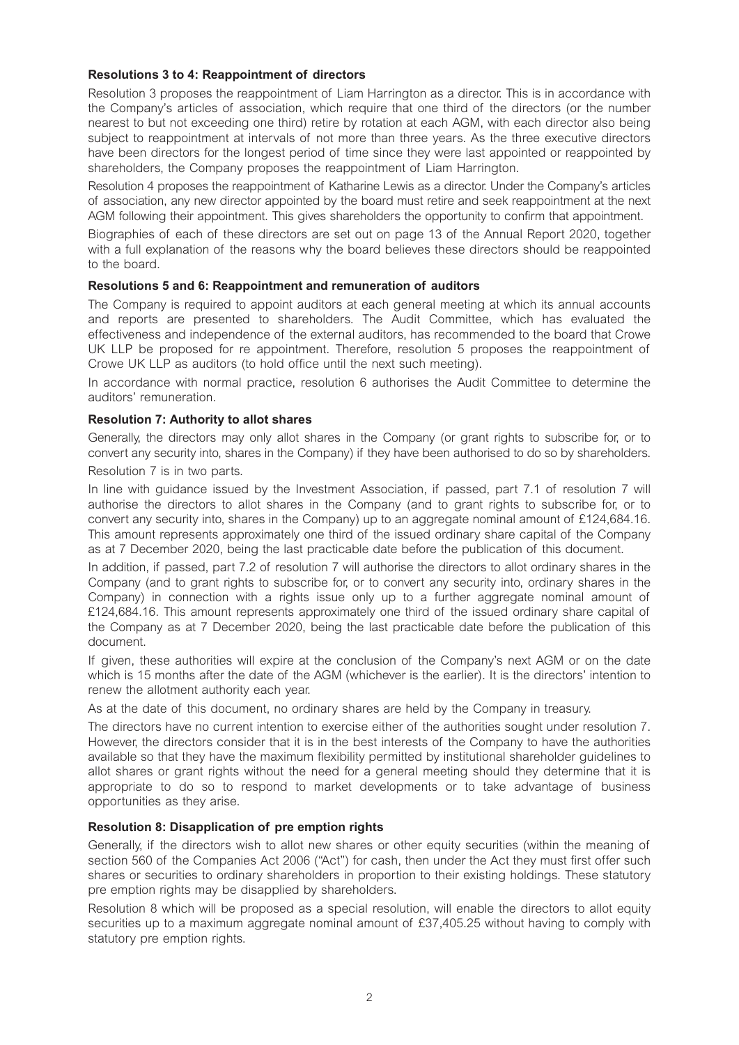# **Resolutions 3 to 4: Reappointment of directors**

Resolution 3 proposes the reappointment of Liam Harrington as a director. This is in accordance with the Company's articles of association, which require that one third of the directors (or the number nearest to but not exceeding one third) retire by rotation at each AGM, with each director also being subject to reappointment at intervals of not more than three years. As the three executive directors have been directors for the longest period of time since they were last appointed or reappointed by shareholders, the Company proposes the reappointment of Liam Harrington.

Resolution 4 proposes the reappointment of Katharine Lewis as a director. Under the Company's articles of association, any new director appointed by the board must retire and seek reappointment at the next AGM following their appointment. This gives shareholders the opportunity to confirm that appointment.

Biographies of each of these directors are set out on page 13 of the Annual Report 2020, together with a full explanation of the reasons why the board believes these directors should be reappointed to the board.

## **Resolutions 5 and 6: Reappointment and remuneration of auditors**

The Company is required to appoint auditors at each general meeting at which its annual accounts and reports are presented to shareholders. The Audit Committee, which has evaluated the effectiveness and independence of the external auditors, has recommended to the board that Crowe UK LLP be proposed for re appointment. Therefore, resolution 5 proposes the reappointment of Crowe UK LLP as auditors (to hold office until the next such meeting).

In accordance with normal practice, resolution 6 authorises the Audit Committee to determine the auditors' remuneration.

## **Resolution 7: Authority to allot shares**

Generally, the directors may only allot shares in the Company (or grant rights to subscribe for, or to convert any security into, shares in the Company) if they have been authorised to do so by shareholders.

# Resolution 7 is in two parts.

In line with guidance issued by the Investment Association, if passed, part 7.1 of resolution 7 will authorise the directors to allot shares in the Company (and to grant rights to subscribe for, or to convert any security into, shares in the Company) up to an aggregate nominal amount of £124,684.16. This amount represents approximately one third of the issued ordinary share capital of the Company as at 7 December 2020, being the last practicable date before the publication of this document.

In addition, if passed, part 7.2 of resolution 7 will authorise the directors to allot ordinary shares in the Company (and to grant rights to subscribe for, or to convert any security into, ordinary shares in the Company) in connection with a rights issue only up to a further aggregate nominal amount of £124,684.16. This amount represents approximately one third of the issued ordinary share capital of the Company as at 7 December 2020, being the last practicable date before the publication of this document.

If given, these authorities will expire at the conclusion of the Company's next AGM or on the date which is 15 months after the date of the AGM (whichever is the earlier). It is the directors' intention to renew the allotment authority each year.

As at the date of this document, no ordinary shares are held by the Company in treasury.

The directors have no current intention to exercise either of the authorities sought under resolution 7. However, the directors consider that it is in the best interests of the Company to have the authorities available so that they have the maximum flexibility permitted by institutional shareholder guidelines to allot shares or grant rights without the need for a general meeting should they determine that it is appropriate to do so to respond to market developments or to take advantage of business opportunities as they arise.

# **Resolution 8: Disapplication of pre emption rights**

Generally, if the directors wish to allot new shares or other equity securities (within the meaning of section 560 of the Companies Act 2006 ("Act") for cash, then under the Act they must first offer such shares or securities to ordinary shareholders in proportion to their existing holdings. These statutory pre emption rights may be disapplied by shareholders.

Resolution 8 which will be proposed as a special resolution, will enable the directors to allot equity securities up to a maximum aggregate nominal amount of £37,405.25 without having to comply with statutory pre emption rights.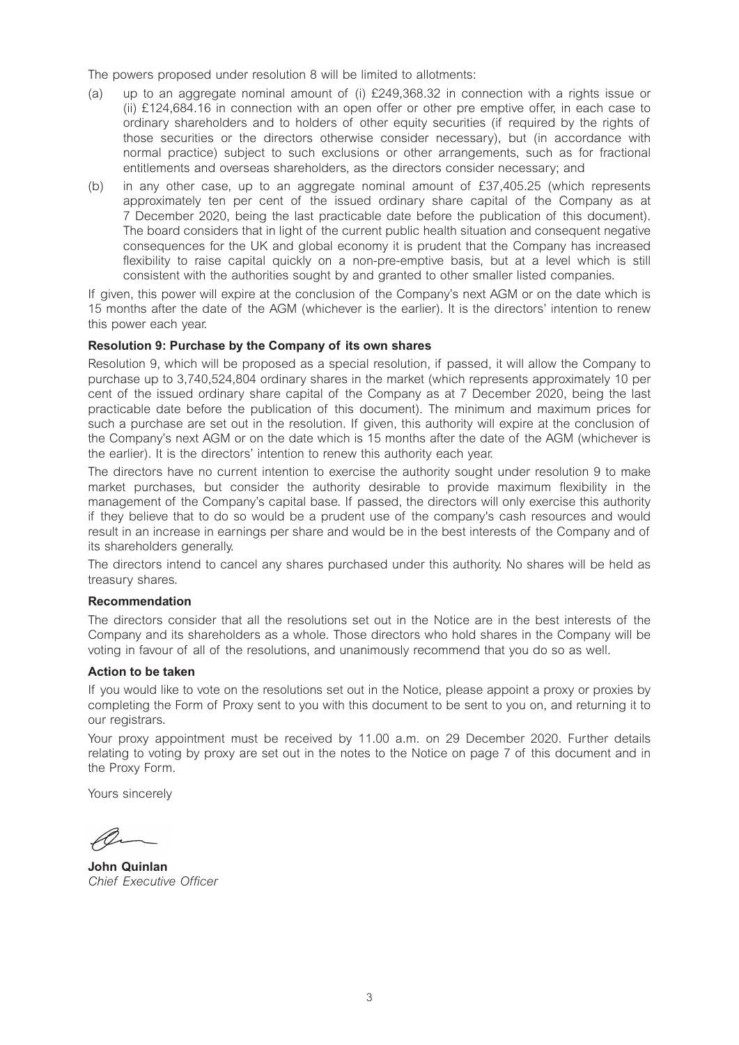The powers proposed under resolution 8 will be limited to allotments:

- (a) up to an aggregate nominal amount of (i) £249,368.32 in connection with a rights issue or (ii) £124,684.16 in connection with an open offer or other pre emptive offer, in each case to ordinary shareholders and to holders of other equity securities (if required by the rights of those securities or the directors otherwise consider necessary), but (in accordance with normal practice) subject to such exclusions or other arrangements, such as for fractional entitlements and overseas shareholders, as the directors consider necessary; and
- (b) in any other case, up to an aggregate nominal amount of £37,405.25 (which represents approximately ten per cent of the issued ordinary share capital of the Company as at 7 December 2020, being the last practicable date before the publication of this document). The board considers that in light of the current public health situation and consequent negative consequences for the UK and global economy it is prudent that the Company has increased flexibility to raise capital quickly on a non-pre-emptive basis, but at a level which is still consistent with the authorities sought by and granted to other smaller listed companies.

If given, this power will expire at the conclusion of the Company's next AGM or on the date which is 15 months after the date of the AGM (whichever is the earlier). It is the directors' intention to renew this power each year.

## **Resolution 9: Purchase by the Company of its own shares**

Resolution 9, which will be proposed as a special resolution, if passed, it will allow the Company to purchase up to 3,740,524,804 ordinary shares in the market (which represents approximately 10 per cent of the issued ordinary share capital of the Company as at 7 December 2020, being the last practicable date before the publication of this document). The minimum and maximum prices for such a purchase are set out in the resolution. If given, this authority will expire at the conclusion of the Company's next AGM or on the date which is 15 months after the date of the AGM (whichever is the earlier). It is the directors' intention to renew this authority each year.

The directors have no current intention to exercise the authority sought under resolution 9 to make market purchases, but consider the authority desirable to provide maximum flexibility in the management of the Company's capital base. If passed, the directors will only exercise this authority if they believe that to do so would be a prudent use of the company's cash resources and would result in an increase in earnings per share and would be in the best interests of the Company and of its shareholders generally.

The directors intend to cancel any shares purchased under this authority. No shares will be held as treasury shares.

#### **Recommendation**

The directors consider that all the resolutions set out in the Notice are in the best interests of the Company and its shareholders as a whole. Those directors who hold shares in the Company will be voting in favour of all of the resolutions, and unanimously recommend that you do so as well.

#### **Action to be taken**

If you would like to vote on the resolutions set out in the Notice, please appoint a proxy or proxies by completing the Form of Proxy sent to you with this document to be sent to you on, and returning it to our registrars.

Your proxy appointment must be received by 11.00 a.m. on 29 December 2020. Further details relating to voting by proxy are set out in the notes to the Notice on page 7 of this document and in the Proxy Form.

Yours sincerely

**John Quinlan**  *Chief Executive Officer*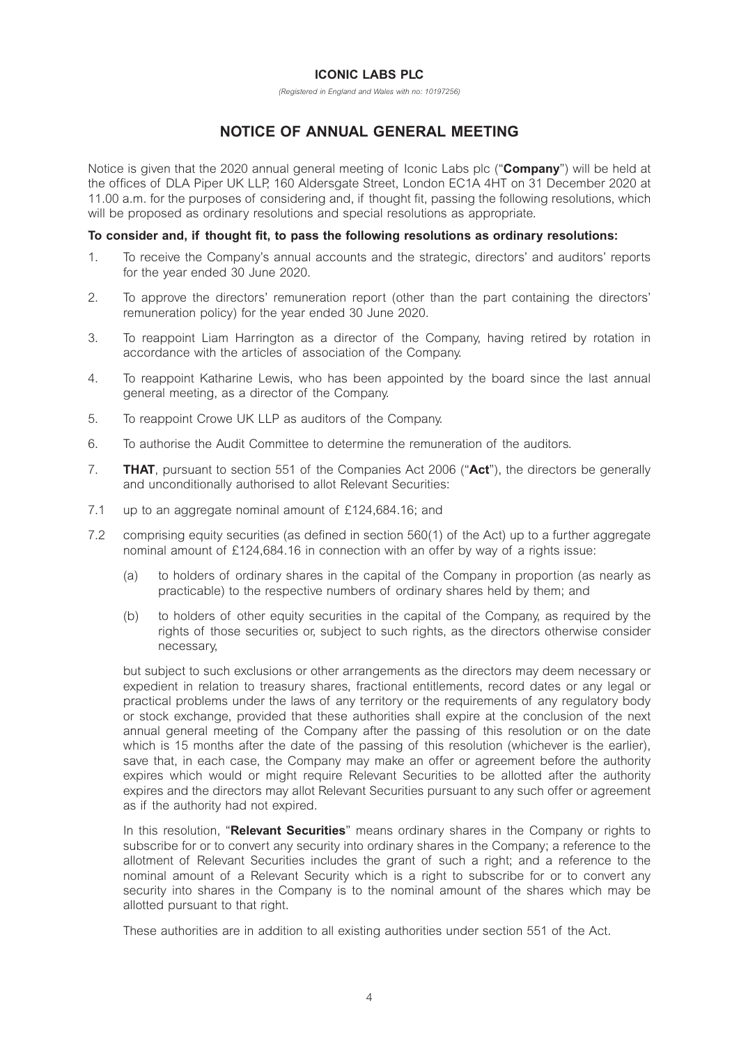## **ICONIC LABS PLC**

*(Registered in England and Wales with no: 10197256)* 

# **NOTICE OF ANNUAL GENERAL MEETING**

Notice is given that the 2020 annual general meeting of Iconic Labs plc ("**Company**") will be held at the offices of DLA Piper UK LLP, 160 Aldersgate Street, London EC1A 4HT on 31 December 2020 at 11.00 a.m. for the purposes of considering and, if thought fit, passing the following resolutions, which will be proposed as ordinary resolutions and special resolutions as appropriate.

## **To consider and, if thought fit, to pass the following resolutions as ordinary resolutions:**

- 1. To receive the Company's annual accounts and the strategic, directors' and auditors' reports for the year ended 30 June 2020.
- 2. To approve the directors' remuneration report (other than the part containing the directors' remuneration policy) for the year ended 30 June 2020.
- 3. To reappoint Liam Harrington as a director of the Company, having retired by rotation in accordance with the articles of association of the Company.
- 4. To reappoint Katharine Lewis, who has been appointed by the board since the last annual general meeting, as a director of the Company.
- 5. To reappoint Crowe UK LLP as auditors of the Company.
- 6. To authorise the Audit Committee to determine the remuneration of the auditors.
- 7. **THAT**, pursuant to section 551 of the Companies Act 2006 ("**Act**"), the directors be generally and unconditionally authorised to allot Relevant Securities:
- 7.1 up to an aggregate nominal amount of £124,684.16; and
- 7.2 comprising equity securities (as defined in section 560(1) of the Act) up to a further aggregate nominal amount of £124,684.16 in connection with an offer by way of a rights issue:
	- (a) to holders of ordinary shares in the capital of the Company in proportion (as nearly as practicable) to the respective numbers of ordinary shares held by them; and
	- (b) to holders of other equity securities in the capital of the Company, as required by the rights of those securities or, subject to such rights, as the directors otherwise consider necessary,

 but subject to such exclusions or other arrangements as the directors may deem necessary or expedient in relation to treasury shares, fractional entitlements, record dates or any legal or practical problems under the laws of any territory or the requirements of any regulatory body or stock exchange, provided that these authorities shall expire at the conclusion of the next annual general meeting of the Company after the passing of this resolution or on the date which is 15 months after the date of the passing of this resolution (whichever is the earlier), save that, in each case, the Company may make an offer or agreement before the authority expires which would or might require Relevant Securities to be allotted after the authority expires and the directors may allot Relevant Securities pursuant to any such offer or agreement as if the authority had not expired.

 In this resolution, "**Relevant Securities**" means ordinary shares in the Company or rights to subscribe for or to convert any security into ordinary shares in the Company; a reference to the allotment of Relevant Securities includes the grant of such a right; and a reference to the nominal amount of a Relevant Security which is a right to subscribe for or to convert any security into shares in the Company is to the nominal amount of the shares which may be allotted pursuant to that right.

These authorities are in addition to all existing authorities under section 551 of the Act.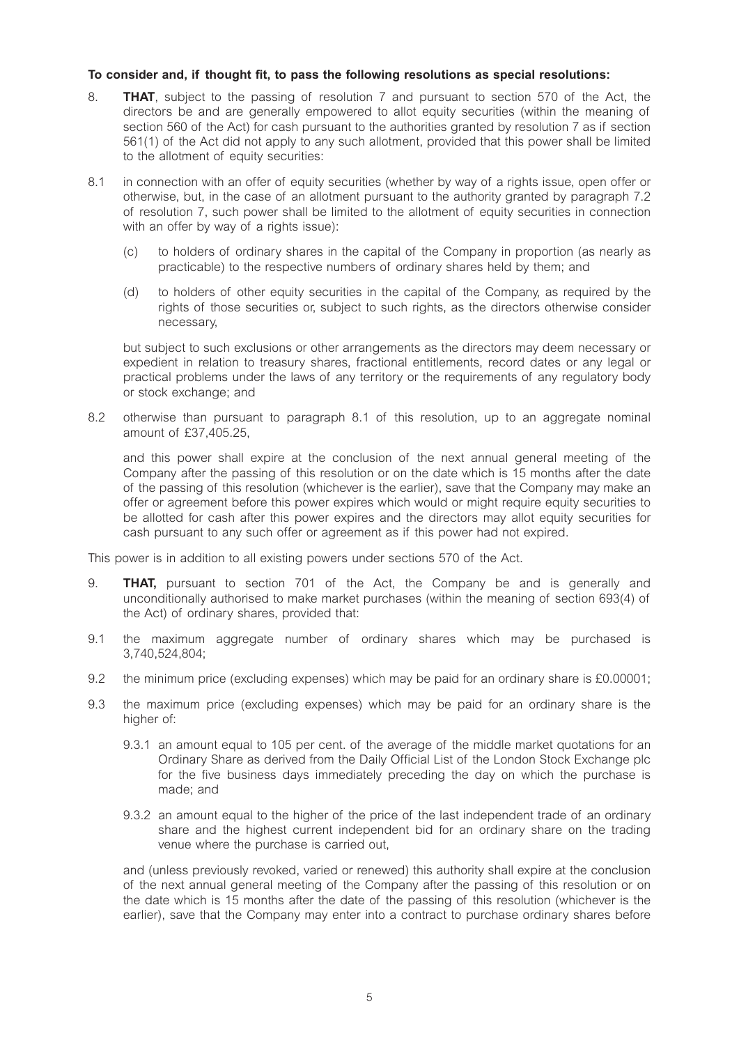# **To consider and, if thought fit, to pass the following resolutions as special resolutions:**

- 8. **THAT**, subject to the passing of resolution 7 and pursuant to section 570 of the Act, the directors be and are generally empowered to allot equity securities (within the meaning of section 560 of the Act) for cash pursuant to the authorities granted by resolution 7 as if section 561(1) of the Act did not apply to any such allotment, provided that this power shall be limited to the allotment of equity securities:
- 8.1 in connection with an offer of equity securities (whether by way of a rights issue, open offer or otherwise, but, in the case of an allotment pursuant to the authority granted by paragraph 7.2 of resolution 7, such power shall be limited to the allotment of equity securities in connection with an offer by way of a rights issue):
	- (c) to holders of ordinary shares in the capital of the Company in proportion (as nearly as practicable) to the respective numbers of ordinary shares held by them; and
	- (d) to holders of other equity securities in the capital of the Company, as required by the rights of those securities or, subject to such rights, as the directors otherwise consider necessary,

 but subject to such exclusions or other arrangements as the directors may deem necessary or expedient in relation to treasury shares, fractional entitlements, record dates or any legal or practical problems under the laws of any territory or the requirements of any regulatory body or stock exchange; and

8.2 otherwise than pursuant to paragraph 8.1 of this resolution, up to an aggregate nominal amount of £37,405.25,

 and this power shall expire at the conclusion of the next annual general meeting of the Company after the passing of this resolution or on the date which is 15 months after the date of the passing of this resolution (whichever is the earlier), save that the Company may make an offer or agreement before this power expires which would or might require equity securities to be allotted for cash after this power expires and the directors may allot equity securities for cash pursuant to any such offer or agreement as if this power had not expired.

This power is in addition to all existing powers under sections 570 of the Act.

- 9. **THAT,** pursuant to section 701 of the Act, the Company be and is generally and unconditionally authorised to make market purchases (within the meaning of section 693(4) of the Act) of ordinary shares, provided that:
- 9.1 the maximum aggregate number of ordinary shares which may be purchased is 3,740,524,804;
- 9.2 the minimum price (excluding expenses) which may be paid for an ordinary share is £0.00001;
- 9.3 the maximum price (excluding expenses) which may be paid for an ordinary share is the higher of:
	- 9.3.1 an amount equal to 105 per cent. of the average of the middle market quotations for an Ordinary Share as derived from the Daily Official List of the London Stock Exchange plc for the five business days immediately preceding the day on which the purchase is made; and
	- 9.3.2 an amount equal to the higher of the price of the last independent trade of an ordinary share and the highest current independent bid for an ordinary share on the trading venue where the purchase is carried out,

 and (unless previously revoked, varied or renewed) this authority shall expire at the conclusion of the next annual general meeting of the Company after the passing of this resolution or on the date which is 15 months after the date of the passing of this resolution (whichever is the earlier), save that the Company may enter into a contract to purchase ordinary shares before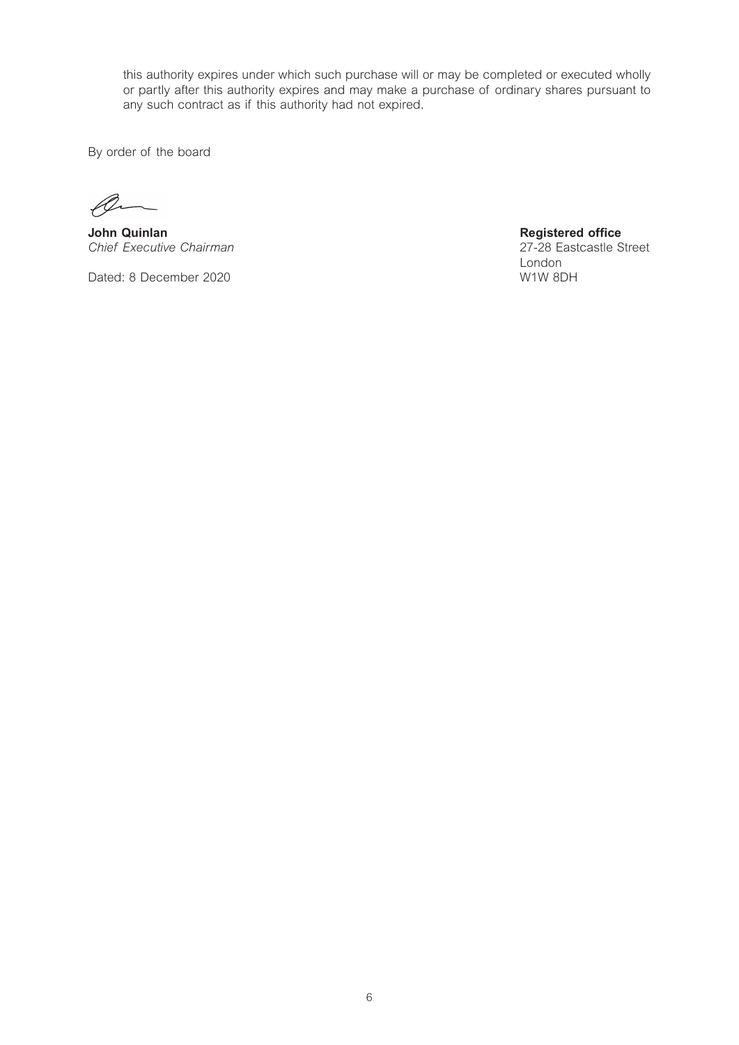this authority expires under which such purchase will or may be completed or executed wholly or partly after this authority expires and may make a purchase of ordinary shares pursuant to any such contract as if this authority had not expired.

By order of the board

**John Quinlan Chairman Chairman Chief Executive Chairman Chief Executive Chairman Chief Executive Chairman** *Chief Executive Chairman* 27-28 Eastcastle Street Street Street Street Street Street Street Street Street Street Street Street Street Street Street Street Street Street Street Street Street Street Street Street Street Str

Dated: 8 December 2020 W1W 8DH

London